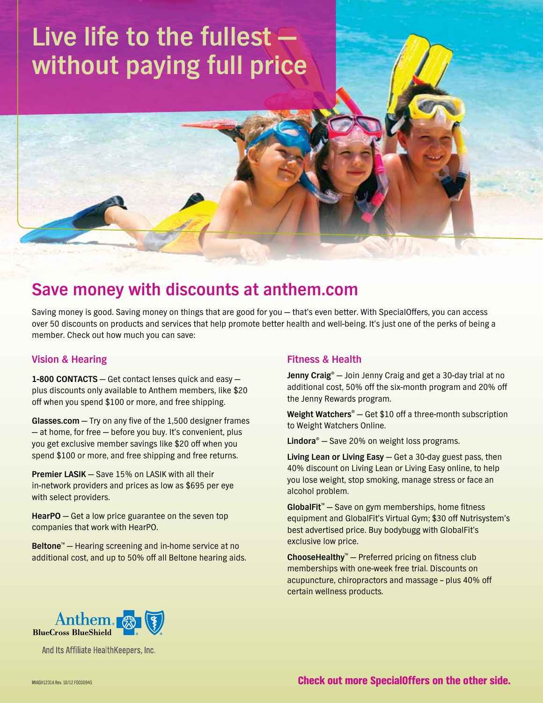# **Live life to the fullest without paying full price**

# **Save money with discounts at [anthem.com](http://anthem.com)**

Saving money is good. Saving money on things that are good for you — that's even better. With SpecialOffers, you can access over 50 discounts on products and services that help promote better health and well-being. It's just one of the perks of being a member. Check out how much you can save:

## **Vision & Hearing**

**1-800 CONTACTS** — Get contact lenses quick and easy plus discounts only available to Anthem members, like \$20 off when you spend \$100 or more, and free shipping.

**[Glasses.com](http://Glasses.com)** — Try on any five of the 1,500 designer frames — at home, for free — before you buy. It's convenient, plus you get exclusive member savings like \$20 off when you spend \$100 or more, and free shipping and free returns.

**Premier LASIK** — Save 15% on LASIK with all their in-network providers and prices as low as \$695 per eye with select providers.

**HearPO** — Get a low price guarantee on the seven top companies that work with HearPO.

**Beltone<sup>™</sup>** — Hearing screening and in-home service at no additional cost, and up to 50% off all Beltone hearing aids.

#### **Fitness & Health**

**Jenny Craig®** — Join Jenny Craig and get a 30-day trial at no additional cost, 50% off the six-month program and 20% off the Jenny Rewards program.

**Weight Watchers®** — Get \$10 off a three-month subscription to Weight Watchers Online.

**Lindora®** — Save 20% on weight loss programs.

**Living Lean or Living Easy** — Get a 30-day guest pass, then 40% discount on Living Lean or Living Easy online, to help you lose weight, stop smoking, manage stress or face an alcohol problem.

**GlobalFit**™ — Save on gym memberships, home fitness equipment and GlobalFit's Virtual Gym; \$30 off Nutrisystem's best advertised price. Buy bodybugg with GlobalFit's exclusive low price.

**ChooseHealthy**™ — Preferred pricing on fitness club memberships with one-week free trial. Discounts on acupuncture, chiropractors and massage – plus 40% off certain wellness products.



And Its Affiliate HealthKeepers, Inc.